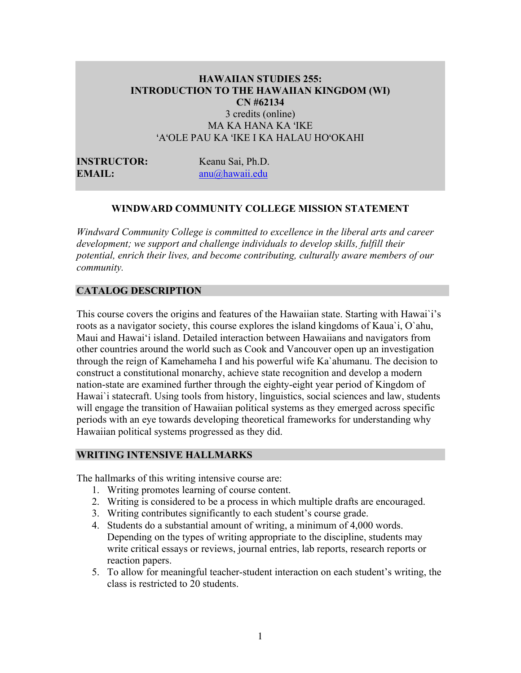# **HAWAIIAN STUDIES 255: INTRODUCTION TO THE HAWAIIAN KINGDOM (WI) CN #62134** 3 credits (online) MA KA HANA KA ʻIKE ʻAʻOLE PAU KA ʻIKE I KA HALAU HOʻOKAHI

**INSTRUCTOR:** Keanu Sai, Ph.D. **EMAIL:** anu@hawaii.edu

#### **WINDWARD COMMUNITY COLLEGE MISSION STATEMENT**

*Windward Community College is committed to excellence in the liberal arts and career development; we support and challenge individuals to develop skills, fulfill their potential, enrich their lives, and become contributing, culturally aware members of our community.*

#### **CATALOG DESCRIPTION**

This course covers the origins and features of the Hawaiian state. Starting with Hawai`i's roots as a navigator society, this course explores the island kingdoms of Kaua`i, O`ahu, Maui and Hawai'i island. Detailed interaction between Hawaiians and navigators from other countries around the world such as Cook and Vancouver open up an investigation through the reign of Kamehameha I and his powerful wife Ka`ahumanu. The decision to construct a constitutional monarchy, achieve state recognition and develop a modern nation-state are examined further through the eighty-eight year period of Kingdom of Hawai'i statecraft. Using tools from history, linguistics, social sciences and law, students will engage the transition of Hawaiian political systems as they emerged across specific periods with an eye towards developing theoretical frameworks for understanding why Hawaiian political systems progressed as they did.

#### **WRITING INTENSIVE HALLMARKS**

The hallmarks of this writing intensive course are:

- 1. Writing promotes learning of course content.
- 2. Writing is considered to be a process in which multiple drafts are encouraged.
- 3. Writing contributes significantly to each student's course grade.
- 4. Students do a substantial amount of writing, a minimum of 4,000 words. Depending on the types of writing appropriate to the discipline, students may write critical essays or reviews, journal entries, lab reports, research reports or reaction papers.
- 5. To allow for meaningful teacher-student interaction on each student's writing, the class is restricted to 20 students.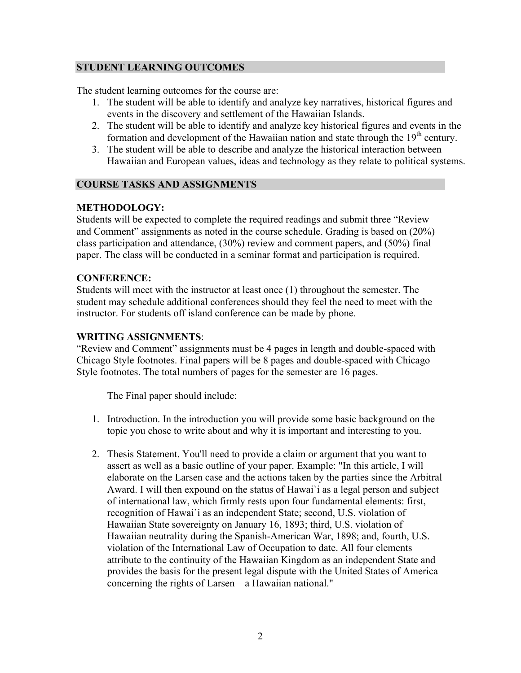# **STUDENT LEARNING OUTCOMES**

The student learning outcomes for the course are:

- 1. The student will be able to identify and analyze key narratives, historical figures and events in the discovery and settlement of the Hawaiian Islands.
- 2. The student will be able to identify and analyze key historical figures and events in the formation and development of the Hawaiian nation and state through the  $19<sup>th</sup>$  century.
- 3. The student will be able to describe and analyze the historical interaction between Hawaiian and European values, ideas and technology as they relate to political systems.

# **COURSE TASKS AND ASSIGNMENTS**

# **METHODOLOGY:**

Students will be expected to complete the required readings and submit three "Review and Comment" assignments as noted in the course schedule. Grading is based on (20%) class participation and attendance, (30%) review and comment papers, and (50%) final paper. The class will be conducted in a seminar format and participation is required.

# **CONFERENCE:**

Students will meet with the instructor at least once (1) throughout the semester. The student may schedule additional conferences should they feel the need to meet with the instructor. For students off island conference can be made by phone.

# **WRITING ASSIGNMENTS**:

"Review and Comment" assignments must be 4 pages in length and double-spaced with Chicago Style footnotes. Final papers will be 8 pages and double-spaced with Chicago Style footnotes. The total numbers of pages for the semester are 16 pages.

The Final paper should include:

- 1. Introduction. In the introduction you will provide some basic background on the topic you chose to write about and why it is important and interesting to you.
- 2. Thesis Statement. You'll need to provide a claim or argument that you want to assert as well as a basic outline of your paper. Example: "In this article, I will elaborate on the Larsen case and the actions taken by the parties since the Arbitral Award. I will then expound on the status of Hawai`i as a legal person and subject of international law, which firmly rests upon four fundamental elements: first, recognition of Hawai`i as an independent State; second, U.S. violation of Hawaiian State sovereignty on January 16, 1893; third, U.S. violation of Hawaiian neutrality during the Spanish-American War, 1898; and, fourth, U.S. violation of the International Law of Occupation to date. All four elements attribute to the continuity of the Hawaiian Kingdom as an independent State and provides the basis for the present legal dispute with the United States of America concerning the rights of Larsen––a Hawaiian national."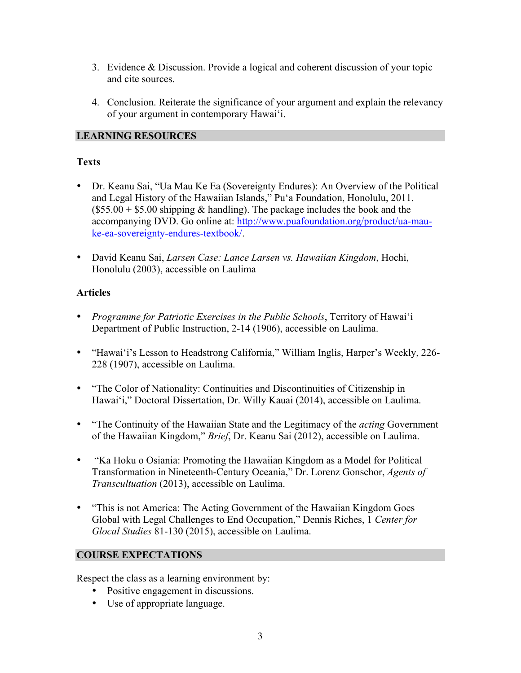- 3. Evidence & Discussion. Provide a logical and coherent discussion of your topic and cite sources.
- 4. Conclusion. Reiterate the significance of your argument and explain the relevancy of your argument in contemporary Hawai'i.

# **LEARNING RESOURCES**

# **Texts**

- Dr. Keanu Sai, "Ua Mau Ke Ea (Sovereignty Endures): An Overview of the Political and Legal History of the Hawaiian Islands," Pu'a Foundation, Honolulu, 2011.  $($55.00 + $5.00$  shipping & handling). The package includes the book and the accompanying DVD. Go online at: http://www.puafoundation.org/product/ua-mauke-ea-sovereignty-endures-textbook/.
- David Keanu Sai, *Larsen Case: Lance Larsen vs. Hawaiian Kingdom*, Hochi, Honolulu (2003), accessible on Laulima

# **Articles**

- *Programme for Patriotic Exercises in the Public Schools*, Territory of Hawai'i Department of Public Instruction, 2-14 (1906), accessible on Laulima.
- "Hawai'i's Lesson to Headstrong California," William Inglis, Harper's Weekly, 226- 228 (1907), accessible on Laulima.
- "The Color of Nationality: Continuities and Discontinuities of Citizenship in Hawai'i," Doctoral Dissertation, Dr. Willy Kauai (2014), accessible on Laulima.
- "The Continuity of the Hawaiian State and the Legitimacy of the *acting* Government of the Hawaiian Kingdom," *Brief*, Dr. Keanu Sai (2012), accessible on Laulima.
- "Ka Hoku o Osiania: Promoting the Hawaiian Kingdom as a Model for Political Transformation in Nineteenth-Century Oceania," Dr. Lorenz Gonschor, *Agents of Transcultuation* (2013), accessible on Laulima.
- "This is not America: The Acting Government of the Hawaiian Kingdom Goes Global with Legal Challenges to End Occupation," Dennis Riches, 1 *Center for Glocal Studies* 81-130 (2015), accessible on Laulima.

# **COURSE EXPECTATIONS**

Respect the class as a learning environment by:

- Positive engagement in discussions.
- Use of appropriate language.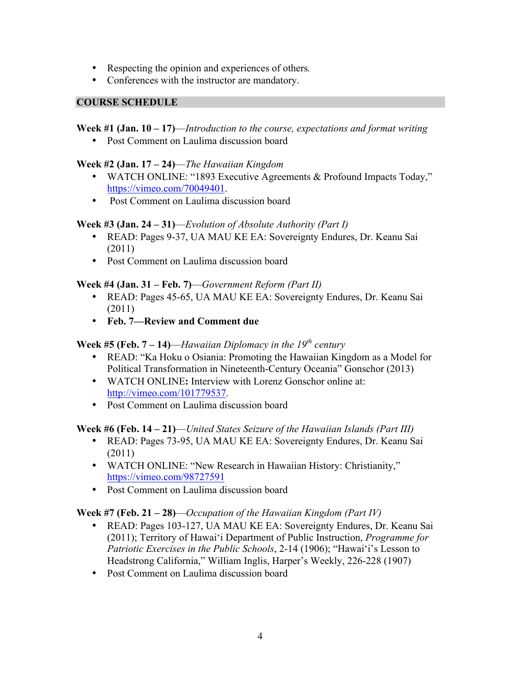- Respecting the opinion and experiences of others*.*
- Conferences with the instructor are mandatory.

# **COURSE SCHEDULE**

# **Week #1 (Jan. 10 – 17)**—*Introduction to the course, expectations and format writing*

• Post Comment on Laulima discussion board

# **Week #2 (Jan. 17 – 24)**—*The Hawaiian Kingdom*

- WATCH ONLINE: "1893 Executive Agreements & Profound Impacts Today," https://vimeo.com/70049401.
- Post Comment on Laulima discussion board

# **Week #3 (Jan. 24 – 31)**—*Evolution of Absolute Authority (Part I)*

- READ: Pages 9-37, UA MAU KE EA: Sovereignty Endures, Dr. Keanu Sai (2011)
- Post Comment on Laulima discussion board

# **Week #4 (Jan. 31 – Feb. 7)**—*Government Reform (Part II)*

- READ: Pages 45-65, UA MAU KE EA: Sovereignty Endures, Dr. Keanu Sai (2011)
- **Feb. 7—Review and Comment due**

# **Week #5 (Feb. 7 – 14)**—*Hawaiian Diplomacy in the 19th century*

- READ: "Ka Hoku o Osiania: Promoting the Hawaiian Kingdom as a Model for Political Transformation in Nineteenth-Century Oceania" Gonschor (2013)
- WATCH ONLINE**:** Interview with Lorenz Gonschor online at: http://vimeo.com/101779537.
- Post Comment on Laulima discussion board

# **Week #6 (Feb. 14 – 21)**—*United States Seizure of the Hawaiian Islands (Part III)*

- READ: Pages 73-95, UA MAU KE EA: Sovereignty Endures, Dr. Keanu Sai (2011)
- WATCH ONLINE: "New Research in Hawaiian History: Christianity," https://vimeo.com/98727591
- Post Comment on Laulima discussion board

# **Week #7 (Feb. 21 – 28)**—*Occupation of the Hawaiian Kingdom (Part IV)*

- READ: Pages 103-127, UA MAU KE EA: Sovereignty Endures, Dr. Keanu Sai (2011); Territory of Hawai'i Department of Public Instruction, *Programme for Patriotic Exercises in the Public Schools*, 2-14 (1906); "Hawai'i's Lesson to Headstrong California," William Inglis, Harper's Weekly, 226-228 (1907)
- Post Comment on Laulima discussion board